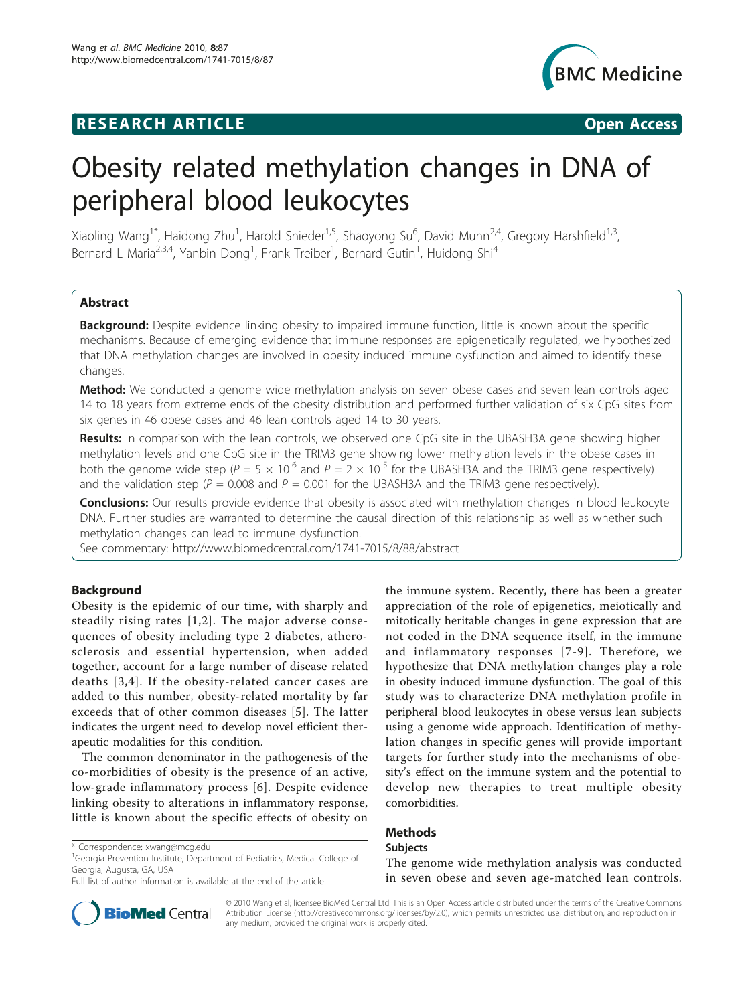## **RESEARCH ARTICLE Example 2018 CONSIDERING ACCESS**



# Obesity related methylation changes in DNA of peripheral blood leukocytes

Xiaoling Wang<sup>1\*</sup>, Haidong Zhu<sup>1</sup>, Harold Snieder<sup>1,5</sup>, Shaoyong Su<sup>6</sup>, David Munn<sup>2,4</sup>, Gregory Harshfield<sup>1,3</sup>, Bernard L Maria<sup>2,3,4</sup>, Yanbin Dong<sup>1</sup>, Frank Treiber<sup>1</sup>, Bernard Gutin<sup>1</sup>, Huidong Shi<sup>4</sup>

## Abstract

Background: Despite evidence linking obesity to impaired immune function, little is known about the specific mechanisms. Because of emerging evidence that immune responses are epigenetically regulated, we hypothesized that DNA methylation changes are involved in obesity induced immune dysfunction and aimed to identify these changes.

Method: We conducted a genome wide methylation analysis on seven obese cases and seven lean controls aged 14 to 18 years from extreme ends of the obesity distribution and performed further validation of six CpG sites from six genes in 46 obese cases and 46 lean controls aged 14 to 30 years.

Results: In comparison with the lean controls, we observed one CpG site in the UBASH3A gene showing higher methylation levels and one CpG site in the TRIM3 gene showing lower methylation levels in the obese cases in both the genome wide step ( $P = 5 \times 10^{-6}$  and  $P = 2 \times 10^{-5}$  for the UBASH3A and the TRIM3 gene respectively) and the validation step ( $P = 0.008$  and  $P = 0.001$  for the UBASH3A and the TRIM3 gene respectively).

**Conclusions:** Our results provide evidence that obesity is associated with methylation changes in blood leukocyte DNA. Further studies are warranted to determine the causal direction of this relationship as well as whether such methylation changes can lead to immune dysfunction.

See commentary:<http://www.biomedcentral.com/1741-7015/8/88/abstract>

## Background

Obesity is the epidemic of our time, with sharply and steadily rising rates [\[1,2\]](#page-6-0). The major adverse consequences of obesity including type 2 diabetes, atherosclerosis and essential hypertension, when added together, account for a large number of disease related deaths [[3,4\]](#page-6-0). If the obesity-related cancer cases are added to this number, obesity-related mortality by far exceeds that of other common diseases [\[5\]](#page-6-0). The latter indicates the urgent need to develop novel efficient therapeutic modalities for this condition.

The common denominator in the pathogenesis of the co-morbidities of obesity is the presence of an active, low-grade inflammatory process [[6](#page-6-0)]. Despite evidence linking obesity to alterations in inflammatory response, little is known about the specific effects of obesity on

the immune system. Recently, there has been a greater appreciation of the role of epigenetics, meiotically and mitotically heritable changes in gene expression that are not coded in the DNA sequence itself, in the immune and inflammatory responses [[7](#page-6-0)-[9\]](#page-6-0). Therefore, we hypothesize that DNA methylation changes play a role in obesity induced immune dysfunction. The goal of this study was to characterize DNA methylation profile in peripheral blood leukocytes in obese versus lean subjects using a genome wide approach. Identification of methylation changes in specific genes will provide important targets for further study into the mechanisms of obesity's effect on the immune system and the potential to develop new therapies to treat multiple obesity comorbidities.

## Methods

#### Subjects

The genome wide methylation analysis was conducted in seven obese and seven age-matched lean controls.



© 2010 Wang et al; licensee BioMed Central Ltd. This is an Open Access article distributed under the terms of the Creative Commons Attribution License [\(http://creativecommons.org/licenses/by/2.0](http://creativecommons.org/licenses/by/2.0)), which permits unrestricted use, distribution, and reproduction in any medium, provided the original work is properly cited.

<sup>\*</sup> Correspondence: [xwang@mcg.edu](mailto:xwang@mcg.edu)

<sup>&</sup>lt;sup>1</sup>Georgia Prevention Institute, Department of Pediatrics, Medical College of Georgia, Augusta, GA, USA

Full list of author information is available at the end of the article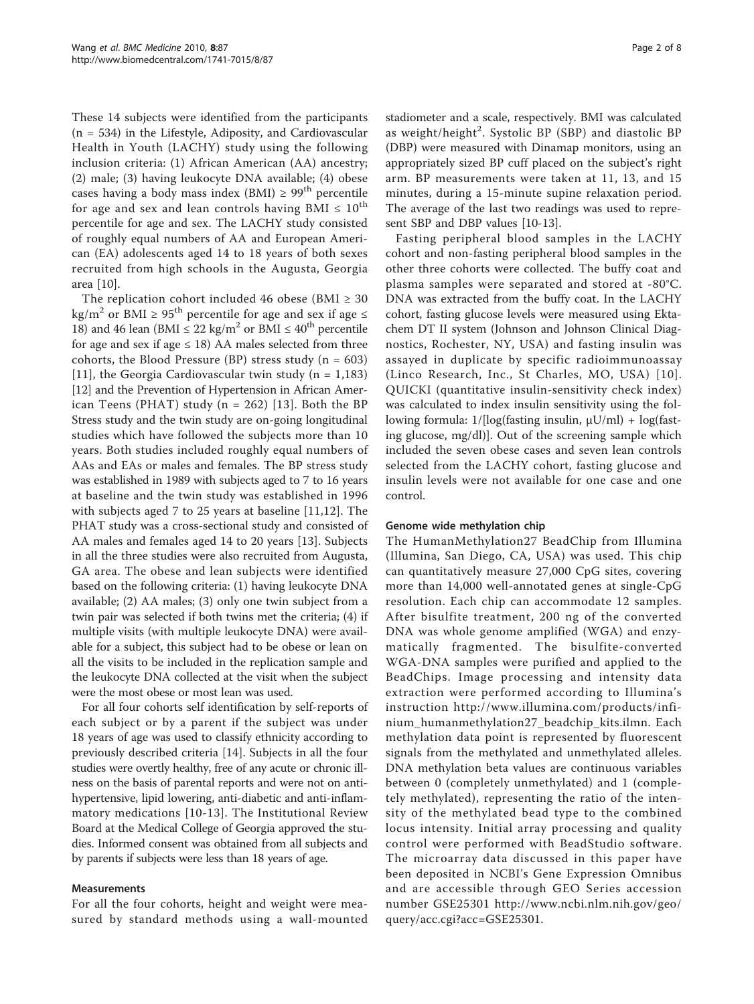These 14 subjects were identified from the participants (n = 534) in the Lifestyle, Adiposity, and Cardiovascular Health in Youth (LACHY) study using the following inclusion criteria: (1) African American (AA) ancestry; (2) male; (3) having leukocyte DNA available; (4) obese cases having a body mass index (BMI)  $\geq 99^{th}$  percentile for age and sex and lean controls having BMI  $\leq 10^{th}$ percentile for age and sex. The LACHY study consisted of roughly equal numbers of AA and European American (EA) adolescents aged 14 to 18 years of both sexes recruited from high schools in the Augusta, Georgia area [[10\]](#page-6-0).

The replication cohort included 46 obese (BMI  $\geq 30$ kg/m<sup>2</sup> or BMI ≥ 95<sup>th</sup> percentile for age and sex if age  $\le$ 18) and 46 lean (BMI  $\leq$  22 kg/m<sup>2</sup> or BMI  $\leq$  40<sup>th</sup> percentile for age and sex if age  $\leq$  18) AA males selected from three cohorts, the Blood Pressure (BP) stress study ( $n = 603$ ) [[11](#page-6-0)], the Georgia Cardiovascular twin study ( $n = 1,183$ ) [[12](#page-7-0)] and the Prevention of Hypertension in African American Teens (PHAT) study ( $n = 262$ ) [[13](#page-7-0)]. Both the BP Stress study and the twin study are on-going longitudinal studies which have followed the subjects more than 10 years. Both studies included roughly equal numbers of AAs and EAs or males and females. The BP stress study was established in 1989 with subjects aged to 7 to 16 years at baseline and the twin study was established in 1996 with subjects aged 7 to 25 years at baseline [\[11](#page-6-0),[12\]](#page-7-0). The PHAT study was a cross-sectional study and consisted of AA males and females aged 14 to 20 years [\[13](#page-7-0)]. Subjects in all the three studies were also recruited from Augusta, GA area. The obese and lean subjects were identified based on the following criteria: (1) having leukocyte DNA available; (2) AA males; (3) only one twin subject from a twin pair was selected if both twins met the criteria; (4) if multiple visits (with multiple leukocyte DNA) were available for a subject, this subject had to be obese or lean on all the visits to be included in the replication sample and the leukocyte DNA collected at the visit when the subject were the most obese or most lean was used.

For all four cohorts self identification by self-reports of each subject or by a parent if the subject was under 18 years of age was used to classify ethnicity according to previously described criteria [[14\]](#page-7-0). Subjects in all the four studies were overtly healthy, free of any acute or chronic illness on the basis of parental reports and were not on antihypertensive, lipid lowering, anti-diabetic and anti-inflammatory medications [\[10-](#page-6-0)[13](#page-7-0)]. The Institutional Review Board at the Medical College of Georgia approved the studies. Informed consent was obtained from all subjects and by parents if subjects were less than 18 years of age.

### Measurements

For all the four cohorts, height and weight were measured by standard methods using a wall-mounted stadiometer and a scale, respectively. BMI was calculated as weight/height<sup>2</sup>. Systolic BP (SBP) and diastolic BP (DBP) were measured with Dinamap monitors, using an appropriately sized BP cuff placed on the subject's right arm. BP measurements were taken at 11, 13, and 15 minutes, during a 15-minute supine relaxation period. The average of the last two readings was used to represent SBP and DBP values [\[10](#page-6-0)-[13](#page-7-0)].

Fasting peripheral blood samples in the LACHY cohort and non-fasting peripheral blood samples in the other three cohorts were collected. The buffy coat and plasma samples were separated and stored at -80°C. DNA was extracted from the buffy coat. In the LACHY cohort, fasting glucose levels were measured using Ektachem DT II system (Johnson and Johnson Clinical Diagnostics, Rochester, NY, USA) and fasting insulin was assayed in duplicate by specific radioimmunoassay (Linco Research, Inc., St Charles, MO, USA) [[10\]](#page-6-0). QUICKI (quantitative insulin-sensitivity check index) was calculated to index insulin sensitivity using the following formula: 1/[log(fasting insulin, μU/ml) + log(fasting glucose, mg/dl)]. Out of the screening sample which included the seven obese cases and seven lean controls selected from the LACHY cohort, fasting glucose and insulin levels were not available for one case and one control.

## Genome wide methylation chip

The HumanMethylation27 BeadChip from Illumina (Illumina, San Diego, CA, USA) was used. This chip can quantitatively measure 27,000 CpG sites, covering more than 14,000 well-annotated genes at single-CpG resolution. Each chip can accommodate 12 samples. After bisulfite treatment, 200 ng of the converted DNA was whole genome amplified (WGA) and enzymatically fragmented. The bisulfite-converted WGA-DNA samples were purified and applied to the BeadChips. Image processing and intensity data extraction were performed according to Illumina's instruction [http://www.illumina.com/products/infi](http://www.illumina.com/products/infinium_humanmethylation27_beadchip_kits.ilmn)[nium\\_humanmethylation27\\_beadchip\\_kits.ilmn](http://www.illumina.com/products/infinium_humanmethylation27_beadchip_kits.ilmn). Each methylation data point is represented by fluorescent signals from the methylated and unmethylated alleles. DNA methylation beta values are continuous variables between 0 (completely unmethylated) and 1 (completely methylated), representing the ratio of the intensity of the methylated bead type to the combined locus intensity. Initial array processing and quality control were performed with BeadStudio software. The microarray data discussed in this paper have been deposited in NCBI's Gene Expression Omnibus and are accessible through GEO Series accession number GSE25301 [http://www.ncbi.nlm.nih.gov/geo/](http://www.ncbi.nlm.nih.gov/geo/query/acc.cgi?acc=GSE25301) [query/acc.cgi?acc=GSE25301](http://www.ncbi.nlm.nih.gov/geo/query/acc.cgi?acc=GSE25301).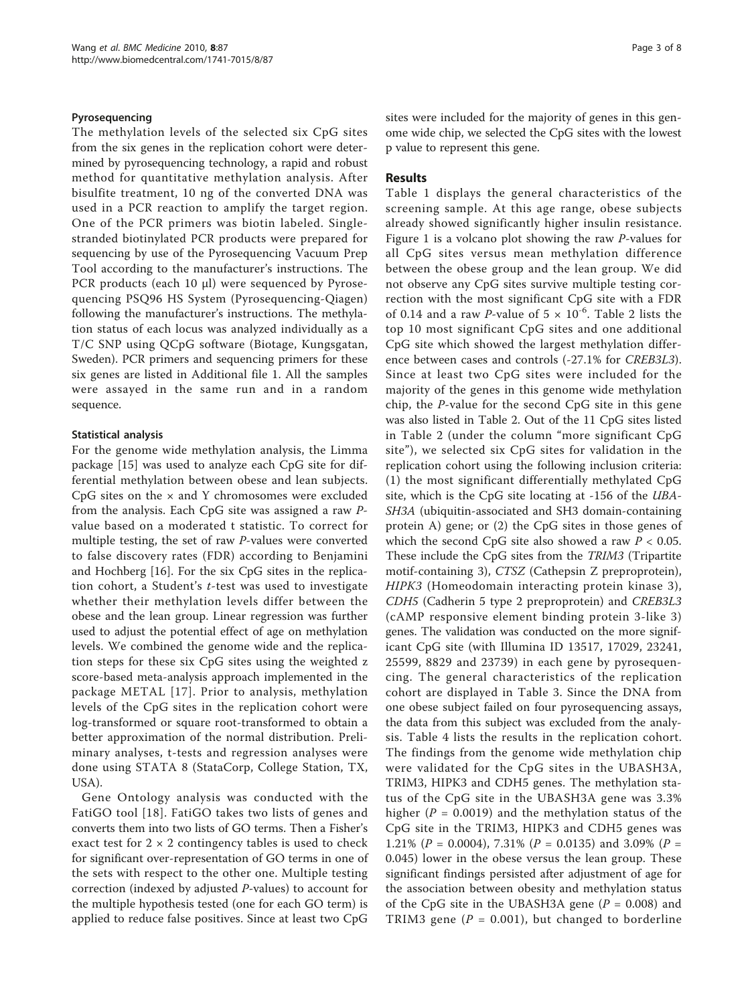## Pyrosequencing

The methylation levels of the selected six CpG sites from the six genes in the replication cohort were determined by pyrosequencing technology, a rapid and robust method for quantitative methylation analysis. After bisulfite treatment, 10 ng of the converted DNA was used in a PCR reaction to amplify the target region. One of the PCR primers was biotin labeled. Singlestranded biotinylated PCR products were prepared for sequencing by use of the Pyrosequencing Vacuum Prep Tool according to the manufacturer's instructions. The PCR products (each 10 μl) were sequenced by Pyrosequencing PSQ96 HS System (Pyrosequencing-Qiagen) following the manufacturer's instructions. The methylation status of each locus was analyzed individually as a T/C SNP using QCpG software (Biotage, Kungsgatan, Sweden). PCR primers and sequencing primers for these six genes are listed in Additional file [1.](#page-6-0) All the samples were assayed in the same run and in a random sequence.

## Statistical analysis

For the genome wide methylation analysis, the Limma package [\[15](#page-7-0)] was used to analyze each CpG site for differential methylation between obese and lean subjects. CpG sites on the  $\times$  and Y chromosomes were excluded from the analysis. Each CpG site was assigned a raw Pvalue based on a moderated t statistic. To correct for multiple testing, the set of raw P-values were converted to false discovery rates (FDR) according to Benjamini and Hochberg [[16\]](#page-7-0). For the six CpG sites in the replication cohort, a Student's t-test was used to investigate whether their methylation levels differ between the obese and the lean group. Linear regression was further used to adjust the potential effect of age on methylation levels. We combined the genome wide and the replication steps for these six CpG sites using the weighted z score-based meta-analysis approach implemented in the package METAL [[17\]](#page-7-0). Prior to analysis, methylation levels of the CpG sites in the replication cohort were log-transformed or square root-transformed to obtain a better approximation of the normal distribution. Preliminary analyses, t-tests and regression analyses were done using STATA 8 (StataCorp, College Station, TX, USA).

Gene Ontology analysis was conducted with the FatiGO tool [[18](#page-7-0)]. FatiGO takes two lists of genes and converts them into two lists of GO terms. Then a Fisher's exact test for  $2 \times 2$  contingency tables is used to check for significant over-representation of GO terms in one of the sets with respect to the other one. Multiple testing correction (indexed by adjusted P-values) to account for the multiple hypothesis tested (one for each GO term) is applied to reduce false positives. Since at least two CpG sites were included for the majority of genes in this genome wide chip, we selected the CpG sites with the lowest p value to represent this gene.

## Results

Table [1](#page-3-0) displays the general characteristics of the screening sample. At this age range, obese subjects already showed significantly higher insulin resistance. Figure [1](#page-3-0) is a volcano plot showing the raw P-values for all CpG sites versus mean methylation difference between the obese group and the lean group. We did not observe any CpG sites survive multiple testing correction with the most significant CpG site with a FDR of 0.14 and a raw P-value of  $5 \times 10^{-6}$ . Table [2](#page-4-0) lists the top 10 most significant CpG sites and one additional CpG site which showed the largest methylation difference between cases and controls (-27.1% for CREB3L3). Since at least two CpG sites were included for the majority of the genes in this genome wide methylation chip, the P-value for the second CpG site in this gene was also listed in Table [2.](#page-4-0) Out of the 11 CpG sites listed in Table [2](#page-4-0) (under the column "more significant CpG site"), we selected six CpG sites for validation in the replication cohort using the following inclusion criteria: (1) the most significant differentially methylated CpG site, which is the CpG site locating at -156 of the UBA-SH3A (ubiquitin-associated and SH3 domain-containing protein A) gene; or (2) the CpG sites in those genes of which the second CpG site also showed a raw  $P < 0.05$ . These include the CpG sites from the TRIM3 (Tripartite motif-containing 3), CTSZ (Cathepsin Z preproprotein), HIPK3 (Homeodomain interacting protein kinase 3), CDH5 (Cadherin 5 type 2 preproprotein) and CREB3L3 (cAMP responsive element binding protein 3-like 3) genes. The validation was conducted on the more significant CpG site (with Illumina ID 13517, 17029, 23241, 25599, 8829 and 23739) in each gene by pyrosequencing. The general characteristics of the replication cohort are displayed in Table [3](#page-4-0). Since the DNA from one obese subject failed on four pyrosequencing assays, the data from this subject was excluded from the analysis. Table [4](#page-5-0) lists the results in the replication cohort. The findings from the genome wide methylation chip were validated for the CpG sites in the UBASH3A, TRIM3, HIPK3 and CDH5 genes. The methylation status of the CpG site in the UBASH3A gene was 3.3% higher ( $P = 0.0019$ ) and the methylation status of the CpG site in the TRIM3, HIPK3 and CDH5 genes was 1.21% ( $P = 0.0004$ ), 7.31% ( $P = 0.0135$ ) and 3.09% ( $P =$ 0.045) lower in the obese versus the lean group. These significant findings persisted after adjustment of age for the association between obesity and methylation status of the CpG site in the UBASH3A gene ( $P = 0.008$ ) and TRIM3 gene ( $P = 0.001$ ), but changed to borderline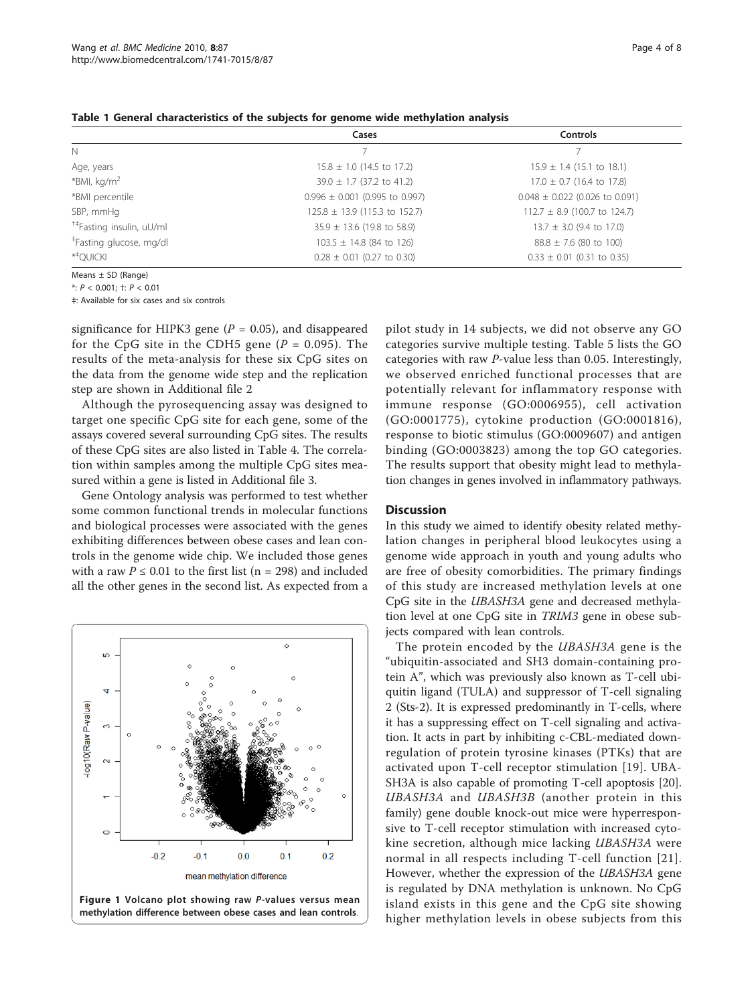|                                      | Cases                              | <b>Controls</b>                    |
|--------------------------------------|------------------------------------|------------------------------------|
| N                                    |                                    |                                    |
| Age, years                           | $15.8 \pm 1.0$ (14.5 to 17.2)      | $15.9 \pm 1.4$ (15.1 to 18.1)      |
| *BMI, kg/m <sup>2</sup>              | $39.0 \pm 1.7$ (37.2 to 41.2)      | $17.0 \pm 0.7$ (16.4 to 17.8)      |
| *BMI percentile                      | $0.996 \pm 0.001$ (0.995 to 0.997) | $0.048 \pm 0.022$ (0.026 to 0.091) |
| SBP, mmHg                            | $125.8 \pm 13.9$ (115.3 to 152.7)  | $112.7 \pm 8.9$ (100.7 to 124.7)   |
| <sup>†‡</sup> Fasting insulin, uU/ml | $35.9 \pm 13.6$ (19.8 to 58.9)     | $13.7 \pm 3.0$ (9.4 to 17.0)       |
| <sup>‡</sup> Fasting glucose, mg/dl  | $103.5 \pm 14.8$ (84 to 126)       | $88.8 \pm 7.6$ (80 to 100)         |
| $*$ <sup>+</sup> OUICKI              | $0.28 \pm 0.01$ (0.27 to 0.30)     | $0.33 \pm 0.01$ (0.31 to 0.35)     |

<span id="page-3-0"></span>Table 1 General characteristics of the subjects for genome wide methylation analysis

Means ± SD (Range)

\*: P < 0.001; †: P < 0.01

‡: Available for six cases and six controls

significance for HIPK3 gene ( $P = 0.05$ ), and disappeared for the CpG site in the CDH5 gene  $(P = 0.095)$ . The results of the meta-analysis for these six CpG sites on the data from the genome wide step and the replication step are shown in Additional file [2](#page-6-0)

Although the pyrosequencing assay was designed to target one specific CpG site for each gene, some of the assays covered several surrounding CpG sites. The results of these CpG sites are also listed in Table [4](#page-5-0). The correlation within samples among the multiple CpG sites measured within a gene is listed in Additional file [3](#page-6-0).

Gene Ontology analysis was performed to test whether some common functional trends in molecular functions and biological processes were associated with the genes exhibiting differences between obese cases and lean controls in the genome wide chip. We included those genes with a raw  $P \le 0.01$  to the first list (n = 298) and included all the other genes in the second list. As expected from a



methylation difference between obese cases and lean controls.

pilot study in 14 subjects, we did not observe any GO categories survive multiple testing. Table [5](#page-5-0) lists the GO categories with raw P-value less than 0.05. Interestingly, we observed enriched functional processes that are potentially relevant for inflammatory response with immune response (GO:0006955), cell activation (GO:0001775), cytokine production (GO:0001816), response to biotic stimulus (GO:0009607) and antigen binding (GO:0003823) among the top GO categories. The results support that obesity might lead to methylation changes in genes involved in inflammatory pathways.

## **Discussion**

In this study we aimed to identify obesity related methylation changes in peripheral blood leukocytes using a genome wide approach in youth and young adults who are free of obesity comorbidities. The primary findings of this study are increased methylation levels at one CpG site in the UBASH3A gene and decreased methylation level at one CpG site in TRIM3 gene in obese subjects compared with lean controls.

The protein encoded by the UBASH3A gene is the "ubiquitin-associated and SH3 domain-containing protein A", which was previously also known as T-cell ubiquitin ligand (TULA) and suppressor of T-cell signaling 2 (Sts-2). It is expressed predominantly in T-cells, where it has a suppressing effect on T-cell signaling and activation. It acts in part by inhibiting c-CBL-mediated downregulation of protein tyrosine kinases (PTKs) that are activated upon T-cell receptor stimulation [[19](#page-7-0)]. UBA-SH3A is also capable of promoting T-cell apoptosis [[20](#page-7-0)]. UBASH3A and UBASH3B (another protein in this family) gene double knock-out mice were hyperresponsive to T-cell receptor stimulation with increased cytokine secretion, although mice lacking UBASH3A were normal in all respects including T-cell function [[21\]](#page-7-0). However, whether the expression of the UBASH3A gene is regulated by DNA methylation is unknown. No CpG island exists in this gene and the CpG site showing higher methylation levels in obese subjects from this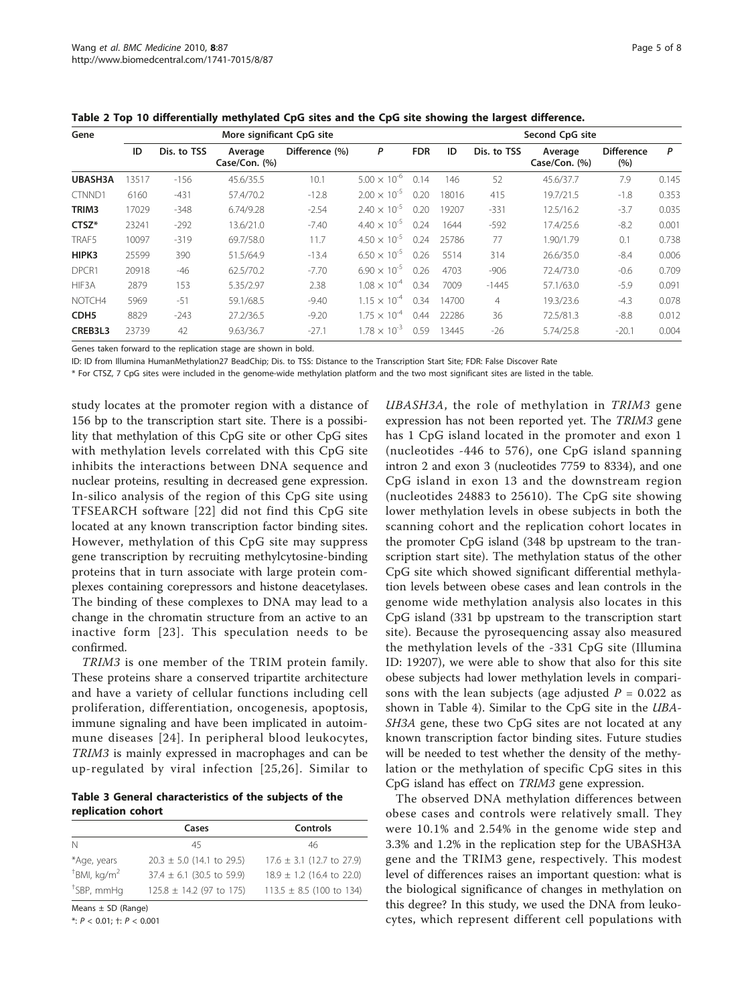| Gene             |       | More significant CpG site |                          |                |                       |            |       | Second CpG site |                          |                          |       |
|------------------|-------|---------------------------|--------------------------|----------------|-----------------------|------------|-------|-----------------|--------------------------|--------------------------|-------|
|                  | ID    | Dis. to TSS               | Average<br>Case/Con. (%) | Difference (%) | P                     | <b>FDR</b> | ID    | Dis. to TSS     | Average<br>Case/Con. (%) | <b>Difference</b><br>(%) | P     |
| UBASH3A          | 13517 | $-156$                    | 45.6/35.5                | 10.1           | $5.00 \times 10^{-6}$ | 0.14       | 146   | 52              | 45.6/37.7                | 7.9                      | 0.145 |
| CTNND1           | 6160  | $-431$                    | 57.4/70.2                | $-12.8$        | $2.00 \times 10^{-5}$ | 0.20       | 18016 | 415             | 19.7/21.5                | $-1.8$                   | 0.353 |
| TRIM3            | 17029 | $-348$                    | 6.74/9.28                | $-2.54$        | $2.40 \times 10^{-5}$ | 0.20       | 19207 | $-331$          | 12.5/16.2                | $-3.7$                   | 0.035 |
| CTSZ*            | 23241 | $-292$                    | 13.6/21.0                | $-7.40$        | $4.40 \times 10^{-5}$ | 0.24       | 1644  | $-592$          | 17.4/25.6                | $-8.2$                   | 0.001 |
| TRAF5            | 10097 | $-319$                    | 69.7/58.0                | 11.7           | $4.50 \times 10^{-5}$ | 0.24       | 25786 | 77              | 1.90/1.79                | 0.1                      | 0.738 |
| HIPK3            | 25599 | 390                       | 51.5/64.9                | $-13.4$        | $6.50 \times 10^{-5}$ | 0.26       | 5514  | 314             | 26.6/35.0                | $-8.4$                   | 0.006 |
| DPCR1            | 20918 | $-46$                     | 62.5/70.2                | $-7.70$        | $6.90 \times 10^{-5}$ | 0.26       | 4703  | $-906$          | 72.4/73.0                | $-0.6$                   | 0.709 |
| HIF3A            | 2879  | 153                       | 5.35/2.97                | 2.38           | $1.08 \times 10^{-4}$ | 0.34       | 7009  | $-1445$         | 57.1/63.0                | $-5.9$                   | 0.091 |
| NOTCH4           | 5969  | $-51$                     | 59.1/68.5                | $-9.40$        | $1.15 \times 10^{-4}$ | 0.34       | 14700 | $\overline{4}$  | 19.3/23.6                | $-4.3$                   | 0.078 |
| CDH <sub>5</sub> | 8829  | $-243$                    | 27.2/36.5                | $-9.20$        | $1.75 \times 10^{-4}$ | 0.44       | 22286 | 36              | 72.5/81.3                | $-8.8$                   | 0.012 |
| CREB3L3          | 23739 | 42                        | 9.63/36.7                | $-27.1$        | $1.78 \times 10^{-3}$ | 0.59       | 13445 | $-26$           | 5.74/25.8                | $-20.1$                  | 0.004 |

<span id="page-4-0"></span>Table 2 Top 10 differentially methylated CpG sites and the CpG site showing the largest difference.

Genes taken forward to the replication stage are shown in bold.

ID: ID from Illumina HumanMethylation27 BeadChip; Dis. to TSS: Distance to the Transcription Start Site; FDR: False Discover Rate

\* For CTSZ, 7 CpG sites were included in the genome-wide methylation platform and the two most significant sites are listed in the table.

study locates at the promoter region with a distance of 156 bp to the transcription start site. There is a possibility that methylation of this CpG site or other CpG sites with methylation levels correlated with this CpG site inhibits the interactions between DNA sequence and nuclear proteins, resulting in decreased gene expression. In-silico analysis of the region of this CpG site using TFSEARCH software [[22](#page-7-0)] did not find this CpG site located at any known transcription factor binding sites. However, methylation of this CpG site may suppress gene transcription by recruiting methylcytosine-binding proteins that in turn associate with large protein complexes containing corepressors and histone deacetylases. The binding of these complexes to DNA may lead to a change in the chromatin structure from an active to an inactive form [[23](#page-7-0)]. This speculation needs to be confirmed.

TRIM3 is one member of the TRIM protein family. These proteins share a conserved tripartite architecture and have a variety of cellular functions including cell proliferation, differentiation, oncogenesis, apoptosis, immune signaling and have been implicated in autoimmune diseases [[24](#page-7-0)]. In peripheral blood leukocytes, TRIM3 is mainly expressed in macrophages and can be up-regulated by viral infection [[25,26](#page-7-0)]. Similar to

Table 3 General characteristics of the subjects of the replication cohort

|                            | Cases                         | Controls                      |
|----------------------------|-------------------------------|-------------------------------|
| N                          | 45                            | 46                            |
| *Age, years                | $20.3 \pm 5.0$ (14.1 to 29.5) | $17.6 \pm 3.1$ (12.7 to 27.9) |
| $+$ BMI, kg/m <sup>2</sup> | $37.4 \pm 6.1$ (30.5 to 59.9) | $18.9 \pm 1.2$ (16.4 to 22.0) |
| <sup>+</sup> SBP, mmHq     | $125.8 \pm 14.2$ (97 to 175)  | $113.5 \pm 8.5$ (100 to 134)  |

Means ± SD (Range)

\*: P < 0.01; †: P < 0.001

UBASH3A, the role of methylation in TRIM3 gene expression has not been reported yet. The TRIM3 gene has 1 CpG island located in the promoter and exon 1 (nucleotides -446 to 576), one CpG island spanning intron 2 and exon 3 (nucleotides 7759 to 8334), and one CpG island in exon 13 and the downstream region (nucleotides 24883 to 25610). The CpG site showing lower methylation levels in obese subjects in both the scanning cohort and the replication cohort locates in the promoter CpG island (348 bp upstream to the transcription start site). The methylation status of the other CpG site which showed significant differential methylation levels between obese cases and lean controls in the genome wide methylation analysis also locates in this CpG island (331 bp upstream to the transcription start site). Because the pyrosequencing assay also measured the methylation levels of the -331 CpG site (Illumina ID: 19207), we were able to show that also for this site obese subjects had lower methylation levels in comparisons with the lean subjects (age adjusted  $P = 0.022$  as shown in Table [4\)](#page-5-0). Similar to the CpG site in the UBA-SH3A gene, these two CpG sites are not located at any known transcription factor binding sites. Future studies will be needed to test whether the density of the methylation or the methylation of specific CpG sites in this CpG island has effect on TRIM3 gene expression.

The observed DNA methylation differences between obese cases and controls were relatively small. They were 10.1% and 2.54% in the genome wide step and 3.3% and 1.2% in the replication step for the UBASH3A gene and the TRIM3 gene, respectively. This modest level of differences raises an important question: what is the biological significance of changes in methylation on this degree? In this study, we used the DNA from leukocytes, which represent different cell populations with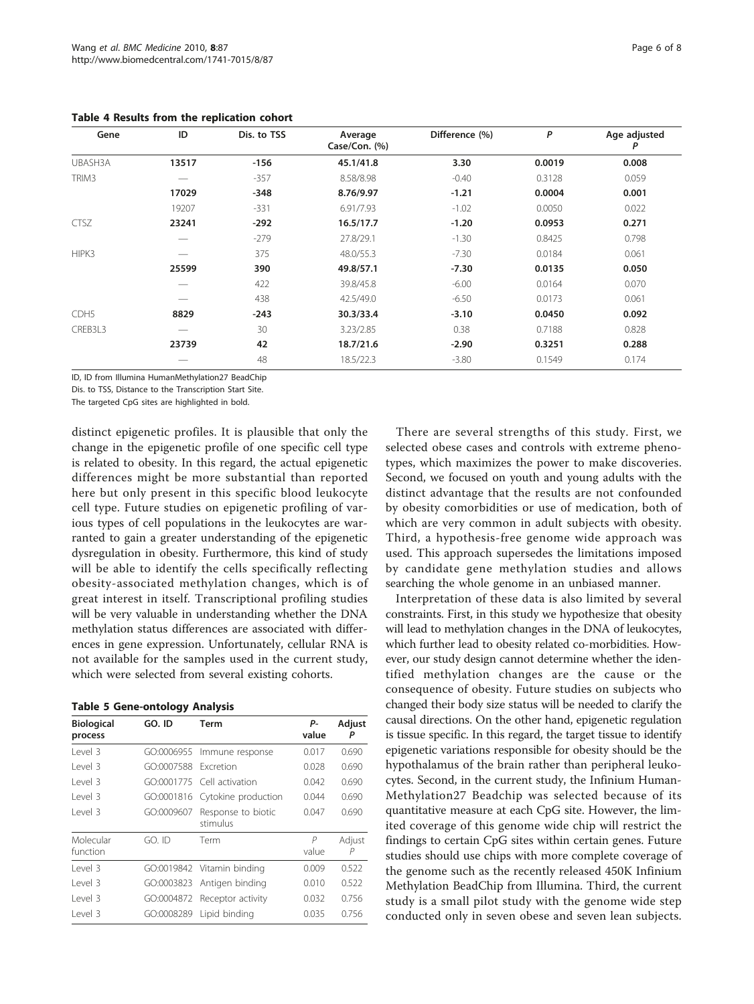| Gene             | ID    | Dis. to TSS | Average<br>Case/Con. (%) | Difference (%) | P      | Age adjusted<br>P |
|------------------|-------|-------------|--------------------------|----------------|--------|-------------------|
| UBASH3A          | 13517 | $-156$      | 45.1/41.8                | 3.30           | 0.0019 | 0.008             |
| TRIM3            |       | $-357$      | 8.58/8.98                | $-0.40$        | 0.3128 | 0.059             |
|                  | 17029 | $-348$      | 8.76/9.97                | $-1.21$        | 0.0004 | 0.001             |
|                  | 19207 | $-331$      | 6.91/7.93                | $-1.02$        | 0.0050 | 0.022             |
| <b>CTSZ</b>      | 23241 | $-292$      | 16.5/17.7                | $-1.20$        | 0.0953 | 0.271             |
|                  |       | $-279$      | 27.8/29.1                | $-1.30$        | 0.8425 | 0.798             |
| HIPK3            |       | 375         | 48.0/55.3                | $-7.30$        | 0.0184 | 0.061             |
|                  | 25599 | 390         | 49.8/57.1                | $-7.30$        | 0.0135 | 0.050             |
|                  |       | 422         | 39.8/45.8                | $-6.00$        | 0.0164 | 0.070             |
|                  |       | 438         | 42.5/49.0                | $-6.50$        | 0.0173 | 0.061             |
| CDH <sub>5</sub> | 8829  | $-243$      | 30.3/33.4                | $-3.10$        | 0.0450 | 0.092             |
| CREB3L3          |       | 30          | 3.23/2.85                | 0.38           | 0.7188 | 0.828             |
|                  | 23739 | 42          | 18.7/21.6                | $-2.90$        | 0.3251 | 0.288             |
|                  |       | 48          | 18.5/22.3                | $-3.80$        | 0.1549 | 0.174             |

<span id="page-5-0"></span>Table 4 Results from the replication cohort

ID, ID from Illumina HumanMethylation27 BeadChip

Dis. to TSS, Distance to the Transcription Start Site.

The targeted CpG sites are highlighted in bold.

distinct epigenetic profiles. It is plausible that only the change in the epigenetic profile of one specific cell type is related to obesity. In this regard, the actual epigenetic differences might be more substantial than reported here but only present in this specific blood leukocyte cell type. Future studies on epigenetic profiling of various types of cell populations in the leukocytes are warranted to gain a greater understanding of the epigenetic dysregulation in obesity. Furthermore, this kind of study will be able to identify the cells specifically reflecting obesity-associated methylation changes, which is of great interest in itself. Transcriptional profiling studies will be very valuable in understanding whether the DNA methylation status differences are associated with differences in gene expression. Unfortunately, cellular RNA is not available for the samples used in the current study, which were selected from several existing cohorts.

| <b>Table 5 Gene-ontology Analysis</b> |  |  |  |  |  |  |
|---------------------------------------|--|--|--|--|--|--|
|---------------------------------------|--|--|--|--|--|--|

| <b>Biological</b><br>process | GO. ID     | Term                           | р.<br>value | Adjust<br>P |
|------------------------------|------------|--------------------------------|-------------|-------------|
| Level 3                      | GO:0006955 | Immune response                | 0.017       | 0.690       |
| Level 3                      | GO:0007588 | Excretion                      | 0.028       | 0.690       |
| Level 3                      |            | GO:0001775 Cell activation     | 0.042       | 0.690       |
| Level 3                      | GO:0001816 | Cytokine production            | 0.044       | 0.690       |
| Level 3                      | GO:0009607 | Response to biotic<br>stimulus | 0.047       | 0.690       |
| Molecular<br>function        | $GO.$ ID   | Term                           | P<br>value  | Adjust<br>P |
| Level 3                      |            | GO:0019842 Vitamin binding     | 0.009       | 0.522       |
| Level 3                      | GO:0003823 | Antigen binding                | 0.010       | 0.522       |
| Level 3                      | GO:0004872 | Receptor activity              | 0.032       | 0.756       |
| Level 3                      | GO:0008289 | Lipid binding                  | 0.035       | 0.756       |

There are several strengths of this study. First, we selected obese cases and controls with extreme phenotypes, which maximizes the power to make discoveries. Second, we focused on youth and young adults with the distinct advantage that the results are not confounded by obesity comorbidities or use of medication, both of which are very common in adult subjects with obesity. Third, a hypothesis-free genome wide approach was used. This approach supersedes the limitations imposed by candidate gene methylation studies and allows searching the whole genome in an unbiased manner.

Interpretation of these data is also limited by several constraints. First, in this study we hypothesize that obesity will lead to methylation changes in the DNA of leukocytes, which further lead to obesity related co-morbidities. However, our study design cannot determine whether the identified methylation changes are the cause or the consequence of obesity. Future studies on subjects who changed their body size status will be needed to clarify the causal directions. On the other hand, epigenetic regulation is tissue specific. In this regard, the target tissue to identify epigenetic variations responsible for obesity should be the hypothalamus of the brain rather than peripheral leukocytes. Second, in the current study, the Infinium Human-Methylation27 Beadchip was selected because of its quantitative measure at each CpG site. However, the limited coverage of this genome wide chip will restrict the findings to certain CpG sites within certain genes. Future studies should use chips with more complete coverage of the genome such as the recently released 450K Infinium Methylation BeadChip from Illumina. Third, the current study is a small pilot study with the genome wide step conducted only in seven obese and seven lean subjects.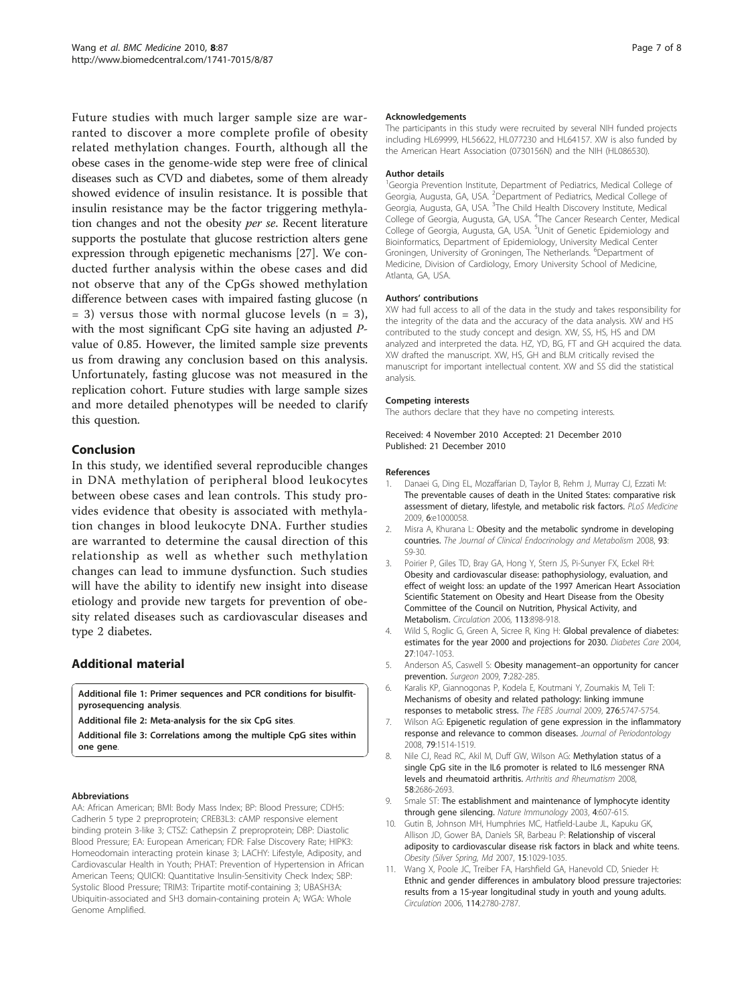<span id="page-6-0"></span>Future studies with much larger sample size are warranted to discover a more complete profile of obesity related methylation changes. Fourth, although all the obese cases in the genome-wide step were free of clinical diseases such as CVD and diabetes, some of them already showed evidence of insulin resistance. It is possible that insulin resistance may be the factor triggering methylation changes and not the obesity per se. Recent literature supports the postulate that glucose restriction alters gene expression through epigenetic mechanisms [[27](#page-7-0)]. We conducted further analysis within the obese cases and did not observe that any of the CpGs showed methylation difference between cases with impaired fasting glucose (n  $= 3$ ) versus those with normal glucose levels (n  $= 3$ ), with the most significant CpG site having an adjusted Pvalue of 0.85. However, the limited sample size prevents us from drawing any conclusion based on this analysis. Unfortunately, fasting glucose was not measured in the replication cohort. Future studies with large sample sizes and more detailed phenotypes will be needed to clarify this question.

## Conclusion

In this study, we identified several reproducible changes in DNA methylation of peripheral blood leukocytes between obese cases and lean controls. This study provides evidence that obesity is associated with methylation changes in blood leukocyte DNA. Further studies are warranted to determine the causal direction of this relationship as well as whether such methylation changes can lead to immune dysfunction. Such studies will have the ability to identify new insight into disease etiology and provide new targets for prevention of obesity related diseases such as cardiovascular diseases and type 2 diabetes.

## Additional material

[Additional file 1: P](http://www.biomedcentral.com/content/supplementary/1741-7015-8-87-S1.DOC)rimer sequences and PCR conditions for bisulfitpyrosequencing analysis.

[Additional file 2: M](http://www.biomedcentral.com/content/supplementary/1741-7015-8-87-S2.DOC)eta-analysis for the six CpG sites.

[Additional file 3: C](http://www.biomedcentral.com/content/supplementary/1741-7015-8-87-S3.DOC)orrelations among the multiple CpG sites within one gene.

#### Abbreviations

AA: African American; BMI: Body Mass Index; BP: Blood Pressure; CDH5: Cadherin 5 type 2 preproprotein; CREB3L3: cAMP responsive element binding protein 3-like 3; CTSZ: Cathepsin Z preproprotein; DBP: Diastolic Blood Pressure; EA: European American; FDR: False Discovery Rate; HIPK3: Homeodomain interacting protein kinase 3; LACHY: Lifestyle, Adiposity, and Cardiovascular Health in Youth; PHAT: Prevention of Hypertension in African American Teens; QUICKI: Quantitative Insulin-Sensitivity Check Index; SBP: Systolic Blood Pressure; TRIM3: Tripartite motif-containing 3; UBASH3A: Ubiquitin-associated and SH3 domain-containing protein A; WGA: Whole Genome Amplified.

#### Acknowledgements

The participants in this study were recruited by several NIH funded projects including HL69999, HL56622, HL077230 and HL64157. XW is also funded by the American Heart Association (0730156N) and the NIH (HL086530).

#### Author details

<sup>1</sup>Georgia Prevention Institute, Department of Pediatrics, Medical College of Georgia, Augusta, GA, USA. <sup>2</sup>Department of Pediatrics, Medical College of Georgia, Augusta, GA, USA. <sup>3</sup>The Child Health Discovery Institute, Medical College of Georgia, Augusta, GA, USA. <sup>4</sup>The Cancer Research Center, Medical College of Georgia, Augusta, GA, USA. <sup>5</sup>Unit of Genetic Epidemiology and Bioinformatics, Department of Epidemiology, University Medical Center Groningen, University of Groningen, The Netherlands. <sup>6</sup>Department of Medicine, Division of Cardiology, Emory University School of Medicine, Atlanta, GA, USA.

#### Authors' contributions

XW had full access to all of the data in the study and takes responsibility for the integrity of the data and the accuracy of the data analysis. XW and HS contributed to the study concept and design. XW, SS, HS, HS and DM analyzed and interpreted the data. HZ, YD, BG, FT and GH acquired the data. XW drafted the manuscript. XW, HS, GH and BLM critically revised the manuscript for important intellectual content. XW and SS did the statistical analysis.

#### Competing interests

The authors declare that they have no competing interests.

#### Received: 4 November 2010 Accepted: 21 December 2010 Published: 21 December 2010

#### References

- 1. Danaei G, Ding EL, Mozaffarian D, Taylor B, Rehm J, Murray CJ, Ezzati M: [The preventable causes of death in the United States: comparative risk](http://www.ncbi.nlm.nih.gov/pubmed/19399161?dopt=Abstract) [assessment of dietary, lifestyle, and metabolic risk factors.](http://www.ncbi.nlm.nih.gov/pubmed/19399161?dopt=Abstract) PLoS Medicine 2009, 6:e1000058
- 2. Misra A, Khurana L: [Obesity and the metabolic syndrome in developing](http://www.ncbi.nlm.nih.gov/pubmed/18987276?dopt=Abstract) [countries.](http://www.ncbi.nlm.nih.gov/pubmed/18987276?dopt=Abstract) The Journal of Clinical Endocrinology and Metabolism 2008, 93: S9-30.
- 3. Poirier P, Giles TD, Bray GA, Hong Y, Stern JS, Pi-Sunyer FX, Eckel RH: [Obesity and cardiovascular disease: pathophysiology, evaluation, and](http://www.ncbi.nlm.nih.gov/pubmed/16380542?dopt=Abstract) [effect of weight loss: an update of the 1997 American Heart Association](http://www.ncbi.nlm.nih.gov/pubmed/16380542?dopt=Abstract) [Scientific Statement on Obesity and Heart Disease from the Obesity](http://www.ncbi.nlm.nih.gov/pubmed/16380542?dopt=Abstract) [Committee of the Council on Nutrition, Physical Activity, and](http://www.ncbi.nlm.nih.gov/pubmed/16380542?dopt=Abstract) [Metabolism.](http://www.ncbi.nlm.nih.gov/pubmed/16380542?dopt=Abstract) Circulation 2006, 113:898-918.
- 4. Wild S, Roglic G, Green A, Sicree R, King H: [Global prevalence of diabetes:](http://www.ncbi.nlm.nih.gov/pubmed/15111519?dopt=Abstract) [estimates for the year 2000 and projections for 2030.](http://www.ncbi.nlm.nih.gov/pubmed/15111519?dopt=Abstract) Diabetes Care 2004, 27:1047-1053.
- 5. Anderson AS, Caswell S: Obesity management–[an opportunity for cancer](http://www.ncbi.nlm.nih.gov/pubmed/19848061?dopt=Abstract) [prevention.](http://www.ncbi.nlm.nih.gov/pubmed/19848061?dopt=Abstract) Surgeon 2009, 7:282-285.
- 6. Karalis KP, Giannogonas P, Kodela E, Koutmani Y, Zoumakis M, Teli T: [Mechanisms of obesity and related pathology: linking immune](http://www.ncbi.nlm.nih.gov/pubmed/19754872?dopt=Abstract) [responses to metabolic stress.](http://www.ncbi.nlm.nih.gov/pubmed/19754872?dopt=Abstract) The FEBS Journal 2009, 276:5747-5754.
- 7. Wilson AG: [Epigenetic regulation of gene expression in the inflammatory](http://www.ncbi.nlm.nih.gov/pubmed/18673005?dopt=Abstract) [response and relevance to common diseases.](http://www.ncbi.nlm.nih.gov/pubmed/18673005?dopt=Abstract) Journal of Periodontology 2008, 79:1514-1519.
- Nile CJ, Read RC, Akil M, Duff GW, Wilson AG: [Methylation status of a](http://www.ncbi.nlm.nih.gov/pubmed/18759290?dopt=Abstract) [single CpG site in the IL6 promoter is related to IL6 messenger RNA](http://www.ncbi.nlm.nih.gov/pubmed/18759290?dopt=Abstract) [levels and rheumatoid arthritis.](http://www.ncbi.nlm.nih.gov/pubmed/18759290?dopt=Abstract) Arthritis and Rheumatism 2008, 58:2686-2693.
- 9. Smale ST: [The establishment and maintenance of lymphocyte identity](http://www.ncbi.nlm.nih.gov/pubmed/12830135?dopt=Abstract) [through gene silencing.](http://www.ncbi.nlm.nih.gov/pubmed/12830135?dopt=Abstract) Nature Immunology 2003, 4:607-615.
- 10. Gutin B, Johnson MH, Humphries MC, Hatfield-Laube JL, Kapuku GK, Allison JD, Gower BA, Daniels SR, Barbeau P: [Relationship of visceral](http://www.ncbi.nlm.nih.gov/pubmed/17426339?dopt=Abstract) [adiposity to cardiovascular disease risk factors in black and white teens.](http://www.ncbi.nlm.nih.gov/pubmed/17426339?dopt=Abstract) Obesity (Silver Spring, Md 2007, 15:1029-1035.
- 11. Wang X, Poole JC, Treiber FA, Harshfield GA, Hanevold CD, Snieder H: [Ethnic and gender differences in ambulatory blood pressure trajectories:](http://www.ncbi.nlm.nih.gov/pubmed/17130344?dopt=Abstract) [results from a 15-year longitudinal study in youth and young adults.](http://www.ncbi.nlm.nih.gov/pubmed/17130344?dopt=Abstract) Circulation 2006, 114:2780-2787.